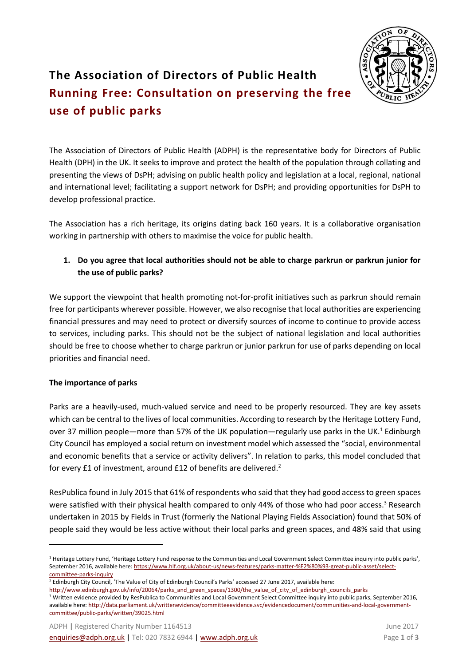

## **The Association of Directors of Public Health Running Free: Consultation on preserving the free use of public parks**

The Association of Directors of Public Health (ADPH) is the representative body for Directors of Public Health (DPH) in the UK. It seeks to improve and protect the health of the population through collating and presenting the views of DsPH; advising on public health policy and legislation at a local, regional, national and international level; facilitating a support network for DsPH; and providing opportunities for DsPH to develop professional practice.

The Association has a rich heritage, its origins dating back 160 years. It is a collaborative organisation working in partnership with others to maximise the voice for public health. 

## **1. Do you agree that local authorities should not be able to charge parkrun or parkrun junior for the use of public parks?**

We support the viewpoint that health promoting not-for-profit initiatives such as parkrun should remain free for participants wherever possible. However, we also recognise that local authorities are experiencing financial pressures and may need to protect or diversify sources of income to continue to provide access to services, including parks. This should not be the subject of national legislation and local authorities should be free to choose whether to charge parkrun or junior parkrun for use of parks depending on local priorities and financial need.

## **The importance of parks**

 $\overline{a}$ 

Parks are a heavily-used, much-valued service and need to be properly resourced. They are key assets which can be central to the lives of local communities. According to research by the Heritage Lottery Fund, over 37 million people—more than 57% of the UK population—regularly use parks in the UK.<sup>1</sup> Edinburgh City Council has employed a social return on investment model which assessed the "social, environmental and economic benefits that a service or activity delivers". In relation to parks, this model concluded that for every £1 of investment, around £12 of benefits are delivered.<sup>2</sup>

ResPublica found in July 2015 that 61% of respondents who said that they had good access to green spaces were satisfied with their physical health compared to only 44% of those who had poor access.<sup>3</sup> Research undertaken in 2015 by Fields in Trust (formerly the National Playing Fields Association) found that 50% of people said they would be less active without their local parks and green spaces, and 48% said that using

<sup>&</sup>lt;sup>1</sup> Heritage Lottery Fund, 'Heritage Lottery Fund response to the Communities and Local Government Select Committee inquiry into public parks', September 2016, available here[: https://www.hlf.org.uk/about-us/news-features/parks-matter-%E2%80%93-great-public-asset/select](https://www.hlf.org.uk/about-us/news-features/parks-matter-%E2%80%93-great-public-asset/select-committee-parks-inquiry)[committee-parks-inquiry](https://www.hlf.org.uk/about-us/news-features/parks-matter-%E2%80%93-great-public-asset/select-committee-parks-inquiry)

<sup>&</sup>lt;sup>2</sup> Edinburgh City Council, 'The Value of City of Edinburgh Council's Parks' accessed 27 June 2017, available here:

[http://www.edinburgh.gov.uk/info/20064/parks\\_and\\_green\\_spaces/1300/the\\_value\\_of\\_city\\_of\\_edinburgh\\_councils\\_parks](http://www.edinburgh.gov.uk/info/20064/parks_and_green_spaces/1300/the_value_of_city_of_edinburgh_councils_parks)

<sup>&</sup>lt;sup>3</sup> Written evidence provided by ResPublica to Communities and Local Government Select Committee inquiry into public parks, September 2016, available here[: http://data.parliament.uk/writtenevidence/committeeevidence.svc/evidencedocument/communities-and-local-government](http://data.parliament.uk/writtenevidence/committeeevidence.svc/evidencedocument/communities-and-local-government-committee/public-parks/written/39025.html)[committee/public-parks/written/39025.html](http://data.parliament.uk/writtenevidence/committeeevidence.svc/evidencedocument/communities-and-local-government-committee/public-parks/written/39025.html)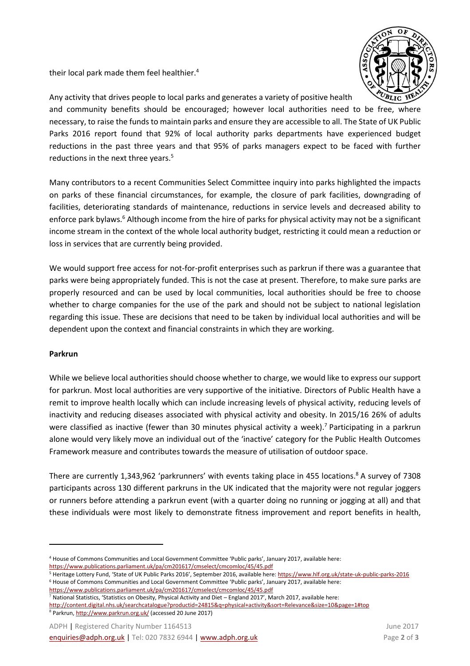their local park made them feel healthier.<sup>4</sup>



Any activity that drives people to local parks and generates a variety of positive health and community benefits should be encouraged; however local authorities need to be free, where necessary, to raise the funds to maintain parks and ensure they are accessible to all. The State of UK Public Parks 2016 report found that 92% of local authority parks departments have experienced budget reductions in the past three years and that 95% of parks managers expect to be faced with further reductions in the next three years.<sup>5</sup>

Many contributors to a recent Communities Select Committee inquiry into parks highlighted the impacts on parks of these financial circumstances, for example, the closure of park facilities, downgrading of facilities, deteriorating standards of maintenance, reductions in service levels and decreased ability to enforce park bylaws.<sup>6</sup> Although income from the hire of parks for physical activity may not be a significant income stream in the context of the whole local authority budget, restricting it could mean a reduction or loss in services that are currently being provided.

We would support free access for not-for-profit enterprises such as parkrun if there was a guarantee that parks were being appropriately funded. This is not the case at present. Therefore, to make sure parks are properly resourced and can be used by local communities, local authorities should be free to choose whether to charge companies for the use of the park and should not be subject to national legislation regarding this issue. These are decisions that need to be taken by individual local authorities and will be dependent upon the context and financial constraints in which they are working.

## **Parkrun**

 $\overline{a}$ 

While we believe local authorities should choose whether to charge, we would like to express our support for parkrun. Most local authorities are very supportive of the initiative. Directors of Public Health have a remit to improve health locally which can include increasing levels of physical activity, reducing levels of inactivity and reducing diseases associated with physical activity and obesity. In 2015/16 26% of adults were classified as inactive (fewer than 30 minutes physical activity a week).<sup>7</sup> Participating in a parkrun alone would very likely move an individual out of the 'inactive' category for the Public Health Outcomes Framework measure and contributes towards the measure of utilisation of outdoor space.

There are currently 1,343,962 'parkrunners' with events taking place in 455 locations.<sup>8</sup> A survey of 7308 participants across 130 different parkruns in the UK indicated that the majority were not regular joggers or runners before attending a parkrun event (with a quarter doing no running or jogging at all) and that these individuals were most likely to demonstrate fitness improvement and report benefits in health,

<https://www.publications.parliament.uk/pa/cm201617/cmselect/cmcomloc/45/45.pdf>  $7$  National Statistics, 'Statistics on Obesity, Physical Activity and Diet – England 2017', March 2017, available here:

<sup>4</sup> House of Commons Communities and Local Government Committee 'Public parks', January 2017, available here:

<https://www.publications.parliament.uk/pa/cm201617/cmselect/cmcomloc/45/45.pdf>

<sup>5</sup> Heritage Lottery Fund, 'State of UK Public Parks 2016', September 2016, available here: <https://www.hlf.org.uk/state-uk-public-parks-2016> <sup>6</sup> House of Commons Communities and Local Government Committee 'Public parks', January 2017, available here:

<http://content.digital.nhs.uk/searchcatalogue?productid=24815&q=physical+activity&sort=Relevance&size=10&page=1#top>